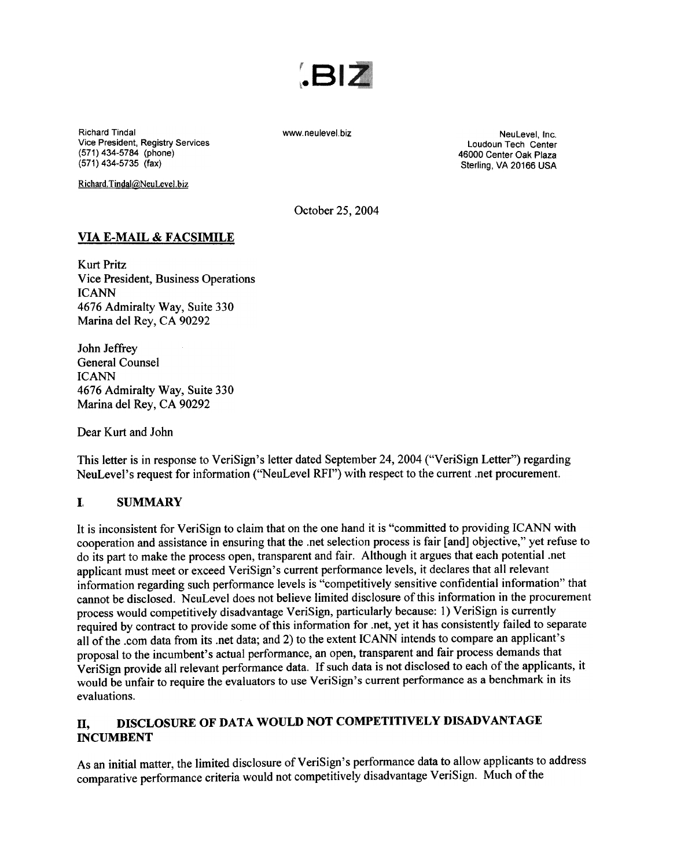

Richard Tindal Vice President, Registry Services (571) 434-5784 (phone) (571) 434-5735 (fax)

Richard. Tindal@NeuLevel.biz

www.neulevel.biz NeuLevel, Inc. Loudoun Tech Center 46000 Center Oak Plaza Sterling, VA 20166 USA

October 25,2004

#### VIA E-MAIL & FACSIMILE

Kurt Pritz Vice President, Business Operations ICANN 4676 Admiralty Way, Suite 330 Marina del Rey, CA 90292

John Jeffrey General Counsel ICANN 4676 Admiralty Way, Suite 330 Marina del Rey, CA 90292

Dear Kurt and John

This letter is in response to VeriSign's letter dated September 24,2004 ("VeriSign Letter") regarding NeuLevel's request for information ("NeuLevel RFI") with respect to the current .net procurement.

#### I. SUMMARY

It is inconsistent for VeriSign to claim that on the one hand it is "committed to providing ICANN with cooperation and assistance in ensuring that the.net selection process is fair [and] objective," yet refuse to do its part to make the process open, transparent and fair. Although it argues that each potential .net applicant must meet or exceed VeriSign's current performance levels, it declares that all relevant information regarding such performance levels is "competitively sensitive confidential information" that cannot be disclosed. NeuLevel does not believe limited disclosure of this information in the procurement process would competitively disadvantage VeriSign, particularly because: 1) VeriSign is currently required by contract to provide some of this information for .net, yet it has consistently failed to separate all of the .com data from its .net data; and 2) to the extent ICANN intends to compare an applicant's proposal to the incumbent's actual performance, an open, transparent and fair process demands that VeriSign provide all relevant performance data. If such data is not disclosed to each of the applicants, it. would be unfair to require the evaluators to use VeriSign's current performance as a benchmark in its evaluations.

## II, DISCLOSURE OF DATA WOULD NOT COMPETITIVELY DISADVANTAGE INCUMBENT

As an initial matter, the limited disclosure of VeriSign's performance data to allow applicants to address comparative performance criteria would not competitively disadvantage VeriSign. Much of the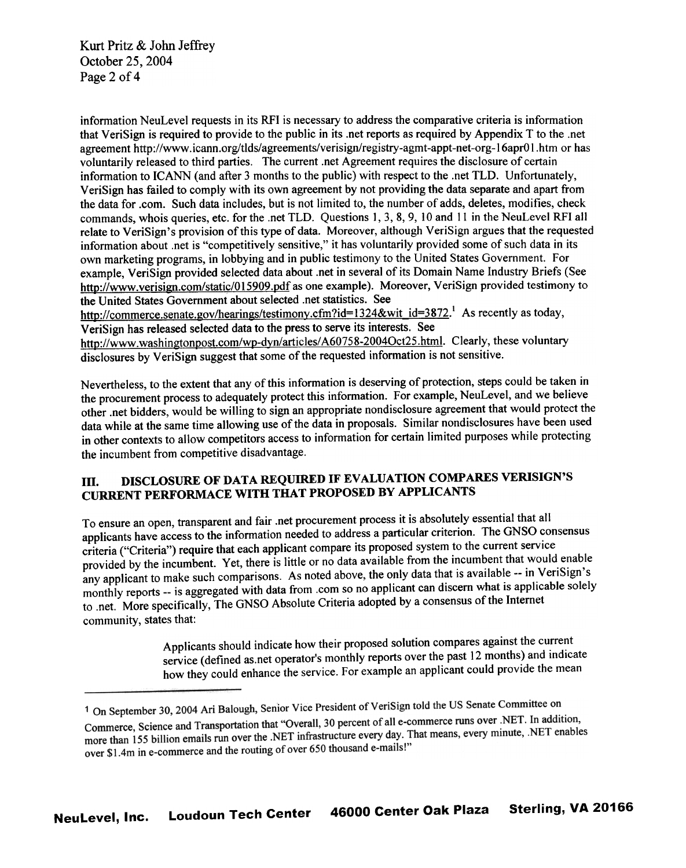Kurt Pritz & John Jeffrey October 25, 2004 Page 2 of 4

information NeuLevel requests in its RFI is necessary to address the comparative criteria is information that VeriSign is required to provide to the public in its .net reports as required by Appendix T to the .net agreement http://www.icann.org/tlds/agreements/verisign/registry-agmt-appt-net-org-16apr01.htm or has voluntarily released to third parties. The current .net Agreement requires the disclosure of certain information to ICANN (and after 3 months to the public) with respect to the .net TLD. Unfortunately, VeriSign has failed to comply with its own agreement by not providing the data separate and apart from the data for .com. Such data includes, but is not limited to, the number of adds, deletes, modifies, check commands, whois queries, etc. for the .net TLD. Questions I, 3, 8, 9, 10 and II in the NeuLevel RFI all relate to VeriSign's provision of this type of data. Moreover, although VeriSign argues that the requested information about .net is "competitively sensitive," it has voluntarily provided some of such data in its own marketing programs, in lobbying and in public testimony to the United States Government. For example, VeriSign provided selected data about .net in several of its Domain Name Industry Briefs (See http://www.verisign.com/static/015909.pdf as one example). Moreover, VeriSign provided testimony to the United States Government about selected .net statistics. See http://commerce.senate.gov/hearings/testimony.cfm?id=1324&wit id=3872.<sup>1</sup> As recently as today,

VeriSign has released selected data to the press to serve its interests. See

http://www.washingtonpost.com/wp-dyn/articles/A60758-2004Oct25.html. Clearly, these voluntary disclosures by VeriSign suggest that some of the requested information is not sensitive.

Nevertheless, to the extent that any of this information is deserving of protection, steps could be taken in the procurement process to adequately protect this information. For example, NeuLevel, and we believe other .net bidders, would be willing to sign an appropriate nondisclosure agreement that would protect the data while at the same time allowing use of the data in proposals. Similar nondisclosures have been used in other contexts to allow competitors access to information for certain limited purposes while protecting the incumbent from competitive disadvantage.

# Ill. DISCLOSURE OF DATA REQUIRED IF EVALUATION COMPARES VERISIGN'S CURRENT PERFORMACE WITH THAT PROPOSED BY APPLICANTS

To ensure an open, transparent and fair .net procurement process it is absolutely essential that all applicants have access to the information needed to address a particular criterion. The GNSO consensus criteria ("Criteria") require that each applicant compare its proposed system to the current service provided by the incumbent. Yet, there is little or no data available from the incumbent that would enable any applicant to make such comparisons. As noted above, the only data that is available --in VeriSign's monthly reports -- is aggregated with data from .com so no applicant can discern what is applicable solely to .net. More specifically, The GNSO Absolute Criteria adopted by a consensus of the Internet community, states that:

> Applicants should indicate how their proposed solution compares against the current service (defined as. net operator's monthly reports over the past 12 months) and indicate how they could enhance the service. For example an applicant could provide the mean

<sup>&</sup>lt;sup>1</sup> On September 30, 2004 Ari Balough, Senior Vice President of VeriSign told the US Senate Committee on Commerce, Science and Transportation that "Overall, 30 percent of all e-commerce runs over .NET. In addition, Commerce, Science and Transportation that "Overall, 50 percent of all e-commerce rans over the FCT in accuracy<br>more than 155 billion emails run over the .NET infrastructure every day. That means, every minute, .NET enables over \$1.4m in e-commerce and the routing of over 650 thousand e-mails!"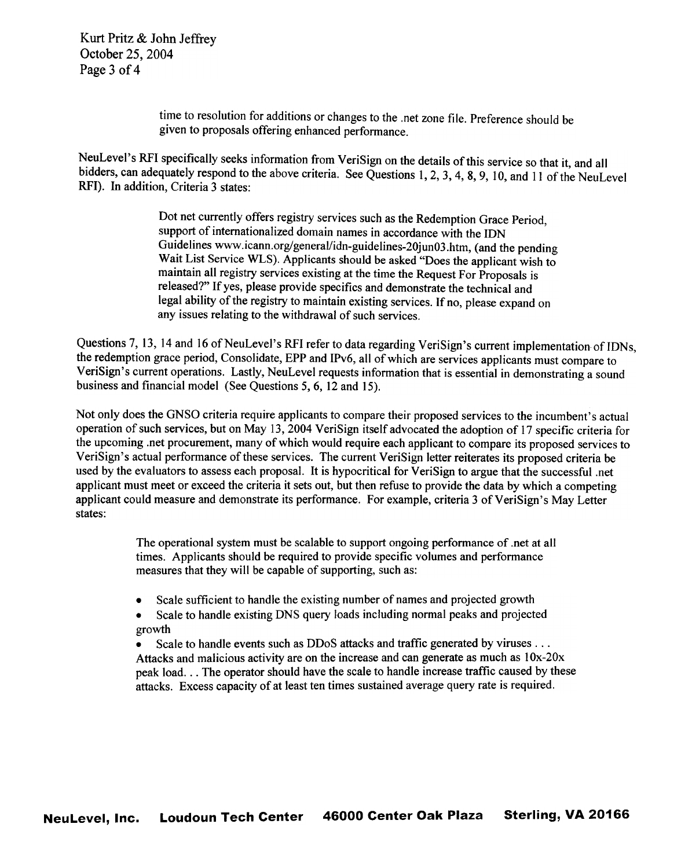Kurt Pritz & John Jeffrey October 25, 2004 Page 3 of 4

> time to resolution for additions or changes to the .net zone file. Preference should be given to proposals offering enhanced performance.

NeuLevel's RFI specifically seeks information from VeriSign on the details of this service so that it, and all bidders, can adequately respond to the above criteria. See Questions 1,2,3,4,8,9, 10, and 11 of the NeuLevel RFI). In addition, Criteria 3 states:

> Dot net currently offers registry services such as the Redemption Grace Period, support of internationalized domain names in accordance with the ION Guidelines www.icann.org/general/idn-guidelines-20junO3.htm, (and the pending Wait List Service WLS). Applicants should be asked "Does the applicant wish to maintain all registry services existing at the time the Request For Proposals is released?" If yes, please provide specifics and demonstrate the technical and legal ability of the registry to maintain existing services. If no, please expand on any issues relating to the withdrawal of such services.

Questions 7, 13, 14 and 16 of NeuLevel's RFI refer to data regarding VeriSign's current implementation of IDNs, the redemption grace period, Consolidate, EPP and IPv6, all of which are services applicants must compare to VeriSign's current operations. Lastly, NeuLevel requests information that is essential in demonstrating a sound business and financial model (See Questions 5, 6, 12 and 15).

Not only does the GNSO criteria require applicants to compare their proposed services to the incumbent's actual operation of such services, but on May 13, 2004 VeriSign itself advocated the adoption of 17 specific criteria for the upcoming .net procurement, many of which would require each applicant to compare its proposed services to VeriSign's actual performance of these services. The current VeriSign letter reiterates its proposed criteria be used by the evaluators to assess each proposal. It is hypocritical for VeriSign to argue that the successful .net applicant must meet or exceed the criteria it sets out, but then refuse to provide the data by which a competing applicant could measure and demonstrate its performance. For example, criteria 3 of VeriSign's May Letter states:

> The operational system must be scalable to support ongoing performance of .net at all times. Applicants should be required to provide specific volumes and performance measures that they will be capable of supporting, such as:

- Scale sufficient to handle the existing number of names and projected growth
- .Scale to handle existing DNS query loads including normal peaks and projected growth

Scale to handle events such as DDoS attacks and traffic generated by viruses  $\dots$ Attacks and malicious activity are on the increase and can generate as much as 10x-20x peak load. ..The operator should have the scale to handle increase traffic caused by these attacks. Excess capacity of at least ten times sustained average query rate is required.